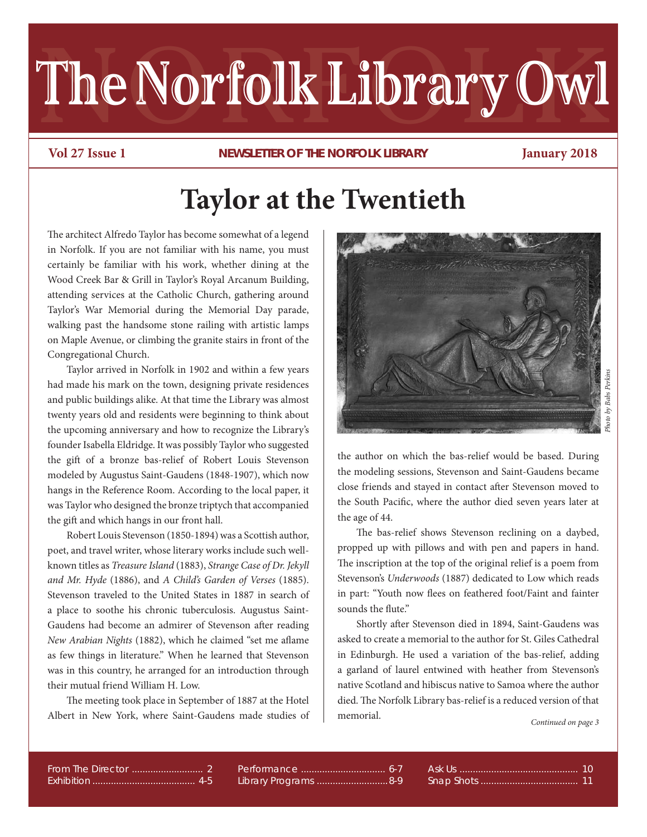# The Norfolk Library Owl

**Vol 27 Issue 1 Newsletter of the Norfolk library January 2018**

# **Taylor at the Twentieth**

The architect Alfredo Taylor has become somewhat of a legend in Norfolk. If you are not familiar with his name, you must certainly be familiar with his work, whether dining at the Wood Creek Bar & Grill in Taylor's Royal Arcanum Building, attending services at the Catholic Church, gathering around Taylor's War Memorial during the Memorial Day parade, walking past the handsome stone railing with artistic lamps on Maple Avenue, or climbing the granite stairs in front of the Congregational Church.

Taylor arrived in Norfolk in 1902 and within a few years had made his mark on the town, designing private residences and public buildings alike. At that time the Library was almost twenty years old and residents were beginning to think about the upcoming anniversary and how to recognize the Library's founder Isabella Eldridge. It was possibly Taylor who suggested the gift of a bronze bas-relief of Robert Louis Stevenson modeled by Augustus Saint-Gaudens (1848-1907), which now hangs in the Reference Room. According to the local paper, it was Taylor who designed the bronze triptych that accompanied the gift and which hangs in our front hall.

Robert Louis Stevenson (1850-1894) was a Scottish author, poet, and travel writer, whose literary works include such wellknown titles as *Treasure Island* (1883), *Strange Case of Dr. Jekyll and Mr. Hyde* (1886), and *A Child's Garden of Verses* (1885). Stevenson traveled to the United States in 1887 in search of a place to soothe his chronic tuberculosis. Augustus Saint-Gaudens had become an admirer of Stevenson after reading *New Arabian Nights* (1882), which he claimed "set me aflame as few things in literature." When he learned that Stevenson was in this country, he arranged for an introduction through their mutual friend William H. Low.

The meeting took place in September of 1887 at the Hotel Albert in New York, where Saint-Gaudens made studies of



the author on which the bas-relief would be based. During the modeling sessions, Stevenson and Saint-Gaudens became close friends and stayed in contact after Stevenson moved to the South Pacific, where the author died seven years later at the age of 44.

 The bas-relief shows Stevenson reclining on a daybed, propped up with pillows and with pen and papers in hand. The inscription at the top of the original relief is a poem from Stevenson's *Underwoods* (1887) dedicated to Low which reads in part: "Youth now flees on feathered foot/Faint and fainter sounds the flute."

 Shortly after Stevenson died in 1894, Saint-Gaudens was asked to create a memorial to the author for St. Giles Cathedral in Edinburgh. He used a variation of the bas-relief, adding a garland of laurel entwined with heather from Stevenson's native Scotland and hibiscus native to Samoa where the author died. The Norfolk Library bas-relief is a reduced version of that memorial.

*Continued on page 3*

Section ............................................. # Exhibition ....................................... 4-5 From The Director ........................... 2

Library Programs .................................8-9 Performance ................................ 6-7

Section ............................................. # Snap Shots ..................................... 11 Ask Us ............................................. 10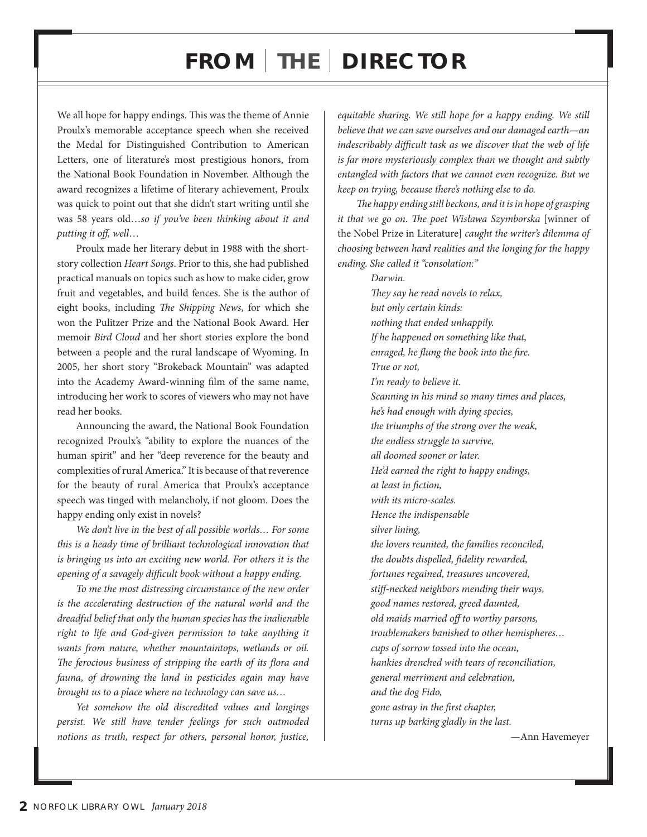# **from the Director**

We all hope for happy endings. This was the theme of Annie Proulx's memorable acceptance speech when she received the Medal for Distinguished Contribution to American Letters, one of literature's most prestigious honors, from the National Book Foundation in November. Although the award recognizes a lifetime of literary achievement, Proulx was quick to point out that she didn't start writing until she was 58 years old…*so if you've been thinking about it and putting it off, well*…

Proulx made her literary debut in 1988 with the shortstory collection *Heart Songs*. Prior to this, she had published practical manuals on topics such as how to make cider, grow fruit and vegetables, and build fences. She is the author of eight books, including *The Shipping News*, for which she won the Pulitzer Prize and the National Book Award. Her memoir *Bird Cloud* and her short stories explore the bond between a people and the rural landscape of Wyoming. In 2005, her short story "Brokeback Mountain" was adapted into the Academy Award-winning film of the same name, introducing her work to scores of viewers who may not have read her books.

Announcing the award, the National Book Foundation recognized Proulx's "ability to explore the nuances of the human spirit" and her "deep reverence for the beauty and complexities of rural America." It is because of that reverence for the beauty of rural America that Proulx's acceptance speech was tinged with melancholy, if not gloom. Does the happy ending only exist in novels?

*We don't live in the best of all possible worlds… For some this is a heady time of brilliant technological innovation that is bringing us into an exciting new world. For others it is the opening of a savagely difficult book without a happy ending.*

*To me the most distressing circumstance of the new order is the accelerating destruction of the natural world and the dreadful belief that only the human species has the inalienable right to life and God-given permission to take anything it wants from nature, whether mountaintops, wetlands or oil. The ferocious business of stripping the earth of its flora and fauna, of drowning the land in pesticides again may have brought us to a place where no technology can save us…* 

*Yet somehow the old discredited values and longings persist. We still have tender feelings for such outmoded notions as truth, respect for others, personal honor, justice,* 

*equitable sharing. We still hope for a happy ending. We still believe that we can save ourselves and our damaged earth—an indescribably difficult task as we discover that the web of life is far more mysteriously complex than we thought and subtly entangled with factors that we cannot even recognize. But we keep on trying, because there's nothing else to do.*

*The happy ending still beckons, and it is in hope of grasping it that we go on. The poet Wisława Szymborska* [winner of the Nobel Prize in Literature] *caught the writer's dilemma of choosing between hard realities and the longing for the happy ending. She called it "consolation:"*

> *Darwin. They say he read novels to relax, but only certain kinds: nothing that ended unhappily. If he happened on something like that, enraged, he flung the book into the fire. True or not, I'm ready to believe it. Scanning in his mind so many times and places, he's had enough with dying species, the triumphs of the strong over the weak, the endless struggle to survive, all doomed sooner or later. He'd earned the right to happy endings, at least in fiction, with its micro-scales. Hence the indispensable silver lining, the lovers reunited, the families reconciled, the doubts dispelled, fidelity rewarded, fortunes regained, treasures uncovered, stiff-necked neighbors mending their ways, good names restored, greed daunted, old maids married off to worthy parsons, troublemakers banished to other hemispheres… cups of sorrow tossed into the ocean, hankies drenched with tears of reconciliation, general merriment and celebration, and the dog Fido, gone astray in the first chapter, turns up barking gladly in the last.*

> > —Ann Havemeyer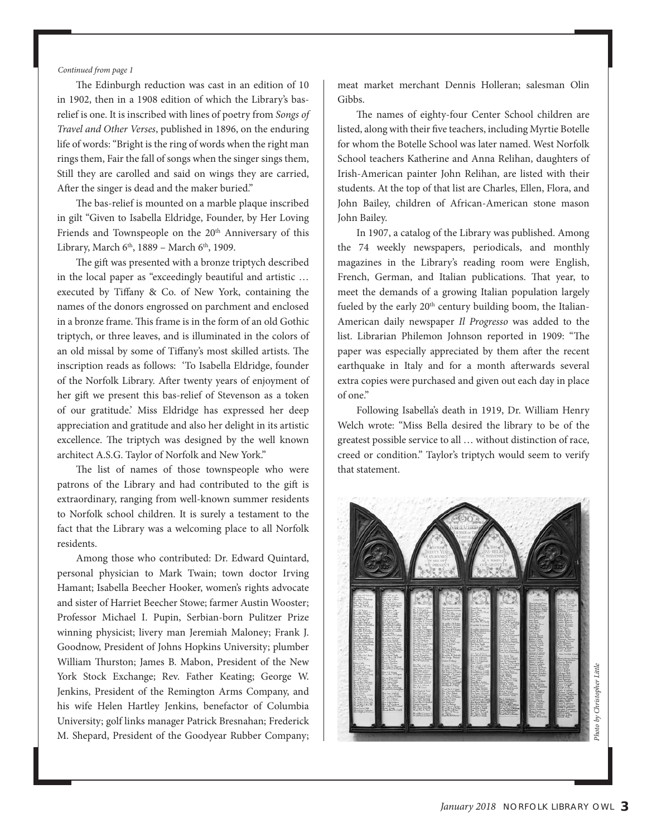*Continued from page 1*

The Edinburgh reduction was cast in an edition of 10 in 1902, then in a 1908 edition of which the Library's basrelief is one. It is inscribed with lines of poetry from *Songs of Travel and Other Verses*, published in 1896, on the enduring life of words: "Bright is the ring of words when the right man rings them, Fair the fall of songs when the singer sings them, Still they are carolled and said on wings they are carried, After the singer is dead and the maker buried."

The bas-relief is mounted on a marble plaque inscribed in gilt "Given to Isabella Eldridge, Founder, by Her Loving Friends and Townspeople on the 20<sup>th</sup> Anniversary of this Library, March  $6<sup>th</sup>$ , 1889 – March  $6<sup>th</sup>$ , 1909.

 The gift was presented with a bronze triptych described in the local paper as "exceedingly beautiful and artistic … executed by Tiffany & Co. of New York, containing the names of the donors engrossed on parchment and enclosed in a bronze frame. This frame is in the form of an old Gothic triptych, or three leaves, and is illuminated in the colors of an old missal by some of Tiffany's most skilled artists. The inscription reads as follows: 'To Isabella Eldridge, founder of the Norfolk Library. After twenty years of enjoyment of her gift we present this bas-relief of Stevenson as a token of our gratitude.' Miss Eldridge has expressed her deep appreciation and gratitude and also her delight in its artistic excellence. The triptych was designed by the well known architect A.S.G. Taylor of Norfolk and New York."

 The list of names of those townspeople who were patrons of the Library and had contributed to the gift is extraordinary, ranging from well-known summer residents to Norfolk school children. It is surely a testament to the fact that the Library was a welcoming place to all Norfolk residents.

 Among those who contributed: Dr. Edward Quintard, personal physician to Mark Twain; town doctor Irving Hamant; Isabella Beecher Hooker, women's rights advocate and sister of Harriet Beecher Stowe; farmer Austin Wooster; Professor Michael I. Pupin, Serbian-born Pulitzer Prize winning physicist; livery man Jeremiah Maloney; Frank J. Goodnow, President of Johns Hopkins University; plumber William Thurston; James B. Mabon, President of the New York Stock Exchange; Rev. Father Keating; George W. Jenkins, President of the Remington Arms Company, and his wife Helen Hartley Jenkins, benefactor of Columbia University; golf links manager Patrick Bresnahan; Frederick M. Shepard, President of the Goodyear Rubber Company;

meat market merchant Dennis Holleran; salesman Olin Gibbs.

 The names of eighty-four Center School children are listed, along with their five teachers, including Myrtie Botelle for whom the Botelle School was later named. West Norfolk School teachers Katherine and Anna Relihan, daughters of Irish-American painter John Relihan, are listed with their students. At the top of that list are Charles, Ellen, Flora, and John Bailey, children of African-American stone mason John Bailey.

 In 1907, a catalog of the Library was published. Among the 74 weekly newspapers, periodicals, and monthly magazines in the Library's reading room were English, French, German, and Italian publications. That year, to meet the demands of a growing Italian population largely fueled by the early  $20<sup>th</sup>$  century building boom, the Italian-American daily newspaper *Il Progresso* was added to the list. Librarian Philemon Johnson reported in 1909: "The paper was especially appreciated by them after the recent earthquake in Italy and for a month afterwards several extra copies were purchased and given out each day in place of one."

 Following Isabella's death in 1919, Dr. William Henry Welch wrote: "Miss Bella desired the library to be of the greatest possible service to all … without distinction of race, creed or condition." Taylor's triptych would seem to verify that statement.

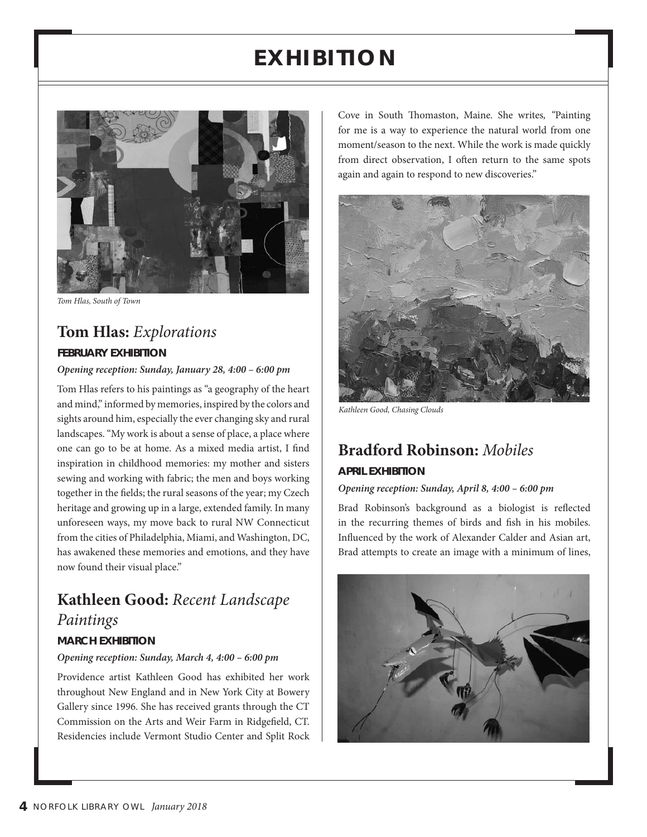# **exhibitio N**



*Tom Hlas, South of Town*

## **Tom Hlas:** *Explorations* **february exhibitioN**

#### *Opening reception: Sunday, January 28, 4:00 – 6:00 pm*

Tom Hlas refers to his paintings as "a geography of the heart and mind," informed by memories, inspired by the colors and sights around him, especially the ever changing sky and rural landscapes. "My work is about a sense of place, a place where one can go to be at home. As a mixed media artist, I find inspiration in childhood memories: my mother and sisters sewing and working with fabric; the men and boys working together in the fields; the rural seasons of the year; my Czech heritage and growing up in a large, extended family. In many unforeseen ways, my move back to rural NW Connecticut from the cities of Philadelphia, Miami, and Washington, DC, has awakened these memories and emotions, and they have now found their visual place."

# **Kathleen Good:** *Recent Landscape Paintings*

## **march exhibitioN**

#### *Opening reception: Sunday, March 4, 4:00 – 6:00 pm*

Providence artist Kathleen Good has exhibited her work throughout New England and in New York City at Bowery Gallery since 1996. She has received grants through the CT Commission on the Arts and Weir Farm in Ridgefield, CT. Residencies include Vermont Studio Center and Split Rock

Cove in South Thomaston, Maine. She writes*, "*Painting for me is a way to experience the natural world from one moment/season to the next. While the work is made quickly from direct observation, I often return to the same spots again and again to respond to new discoveries."



*Kathleen Good, Chasing Clouds*

## **Bradford Robinson:** *Mobiles*

#### **april exhibitioN**

#### *Opening reception: Sunday, April 8, 4:00 – 6:00 pm*

Brad Robinson's background as a biologist is reflected in the recurring themes of birds and fish in his mobiles. Influenced by the work of Alexander Calder and Asian art, Brad attempts to create an image with a minimum of lines,

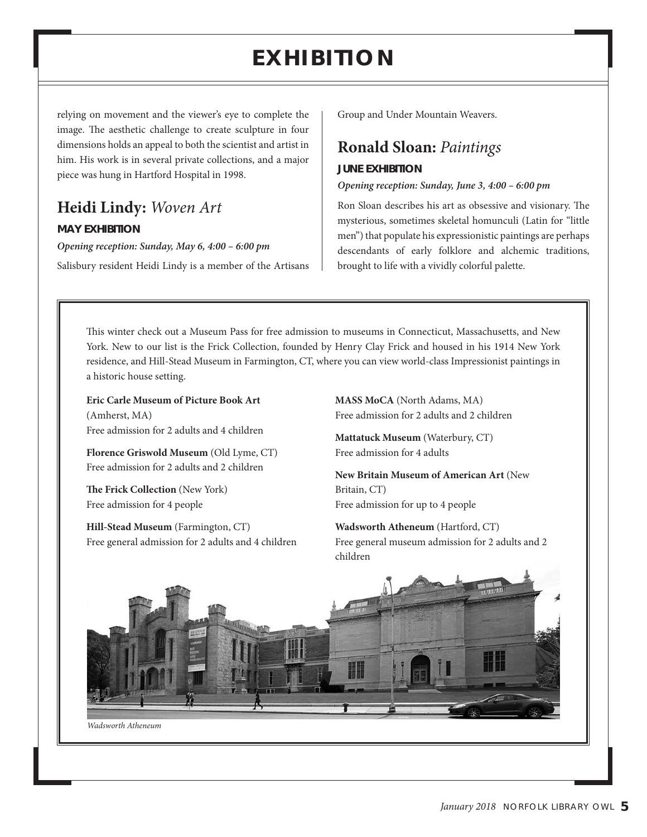# **exhibitio N**

relying on movement and the viewer's eye to complete the image. The aesthetic challenge to create sculpture in four dimensions holds an appeal to both the scientist and artist in him. His work is in several private collections, and a major piece was hung in Hartford Hospital in 1998.

# **Heidi Lindy:** *Woven Art*

#### **may exhibitioN**

*Opening reception: Sunday, May 6, 4:00 – 6:00 pm*

Salisbury resident Heidi Lindy is a member of the Artisans

Group and Under Mountain Weavers.

## **Ronald Sloan:** *Paintings*

#### **JuNe exhibitioN**

#### *Opening reception: Sunday, June 3, 4:00 – 6:00 pm*

Ron Sloan describes his art as obsessive and visionary. The mysterious, sometimes skeletal homunculi (Latin for "little men") that populate his expressionistic paintings are perhaps descendants of early folklore and alchemic traditions, brought to life with a vividly colorful palette.

This winter check out a Museum Pass for free admission to museums in Connecticut, Massachusetts, and New York. New to our list is the Frick Collection, founded by Henry Clay Frick and housed in his 1914 New York residence, and Hill-Stead Museum in Farmington, CT, where you can view world-class Impressionist paintings in a historic house setting.

**Eric Carle Museum of Picture Book Art**  (Amherst, MA) Free admission for 2 adults and 4 children

**Florence Griswold Museum** (Old Lyme, CT) Free admission for 2 adults and 2 children

**The Frick Collection** (New York) Free admission for 4 people

**Hill-Stead Museum** (Farmington, CT) Free general admission for 2 adults and 4 children **MASS MoCA** (North Adams, MA) Free admission for 2 adults and 2 children

**Mattatuck Museum** (Waterbury, CT) Free admission for 4 adults

**New Britain Museum of American Art** (New Britain, CT) Free admission for up to 4 people

**Wadsworth Atheneum** (Hartford, CT) Free general museum admission for 2 adults and 2 children

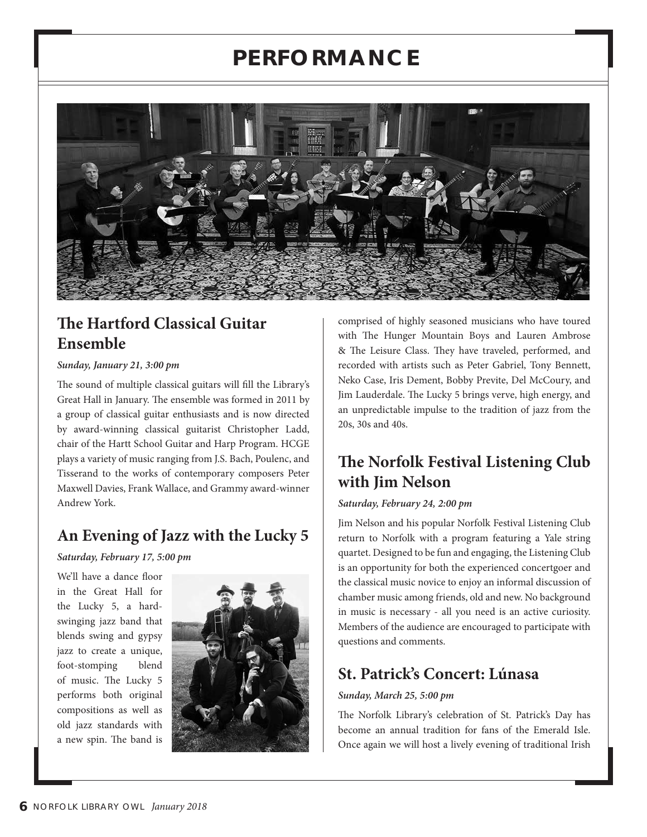# **performa Nc e**



# **The Hartford Classical Guitar Ensemble**

#### *Sunday, January 21, 3:00 pm*

The sound of multiple classical guitars will fill the Library's Great Hall in January. The ensemble was formed in 2011 by a group of classical guitar enthusiasts and is now directed by award-winning classical guitarist Christopher Ladd, chair of the Hartt School Guitar and Harp Program. HCGE plays a variety of music ranging from J.S. Bach, Poulenc, and Tisserand to the works of contemporary composers Peter Maxwell Davies, Frank Wallace, and Grammy award-winner Andrew York.

# **An Evening of Jazz with the Lucky 5**

*Saturday, February 17, 5:00 pm*

We'll have a dance floor in the Great Hall for the Lucky 5, a hardswinging jazz band that blends swing and gypsy jazz to create a unique, foot-stomping blend of music. The Lucky 5 performs both original compositions as well as old jazz standards with a new spin. The band is



comprised of highly seasoned musicians who have toured with The Hunger Mountain Boys and Lauren Ambrose & The Leisure Class. They have traveled, performed, and recorded with artists such as Peter Gabriel, Tony Bennett, Neko Case, Iris Dement, Bobby Previte, Del McCoury, and Jim Lauderdale. The Lucky 5 brings verve, high energy, and an unpredictable impulse to the tradition of jazz from the 20s, 30s and 40s.

# **The Norfolk Festival Listening Club with Jim Nelson**

#### *Saturday, February 24, 2:00 pm*

Jim Nelson and his popular Norfolk Festival Listening Club return to Norfolk with a program featuring a Yale string quartet. Designed to be fun and engaging, the Listening Club is an opportunity for both the experienced concertgoer and the classical music novice to enjoy an informal discussion of chamber music among friends, old and new. No background in music is necessary - all you need is an active curiosity. Members of the audience are encouraged to participate with questions and comments.

# **St. Patrick's Concert: Lúnasa**

### *Sunday, March 25, 5:00 pm*

The Norfolk Library's celebration of St. Patrick's Day has become an annual tradition for fans of the Emerald Isle. Once again we will host a lively evening of traditional Irish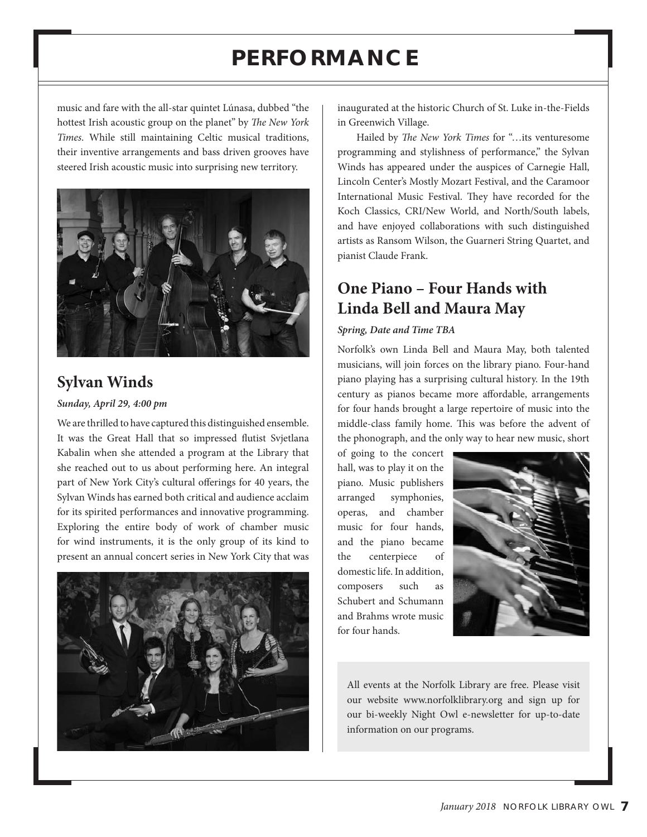# **performa Nc e**

music and fare with the all-star quintet Lúnasa, dubbed "the hottest Irish acoustic group on the planet" by *The New York Times*. While still maintaining Celtic musical traditions, their inventive arrangements and bass driven grooves have steered Irish acoustic music into surprising new territory.



# **Sylvan Winds**

#### *Sunday, April 29, 4:00 pm*

We are thrilled to have captured this distinguished ensemble. It was the Great Hall that so impressed flutist Svjetlana Kabalin when she attended a program at the Library that she reached out to us about performing here. An integral part of New York City's cultural offerings for 40 years, the Sylvan Winds has earned both critical and audience acclaim for its spirited performances and innovative programming. Exploring the entire body of work of chamber music for wind instruments, it is the only group of its kind to present an annual concert series in New York City that was



inaugurated at the historic Church of St. Luke in-the-Fields in Greenwich Village.

 Hailed by *The New York Times* for "…its venturesome programming and stylishness of performance," the Sylvan Winds has appeared under the auspices of Carnegie Hall, Lincoln Center's Mostly Mozart Festival, and the Caramoor International Music Festival. They have recorded for the Koch Classics, CRI/New World, and North/South labels, and have enjoyed collaborations with such distinguished artists as Ransom Wilson, the Guarneri String Quartet, and pianist Claude Frank.

# **One Piano – Four Hands with Linda Bell and Maura May**

#### *Spring, Date and Time TBA*

Norfolk's own Linda Bell and Maura May, both talented musicians, will join forces on the library piano. Four-hand piano playing has a surprising cultural history. In the 19th century as pianos became more affordable, arrangements for four hands brought a large repertoire of music into the middle-class family home. This was before the advent of the phonograph, and the only way to hear new music, short

of going to the concert hall, was to play it on the piano. Music publishers arranged symphonies, operas, and chamber music for four hands, and the piano became the centerpiece of domestic life. In addition, composers such as Schubert and Schumann and Brahms wrote music for four hands.



All events at the Norfolk Library are free. Please visit our website www.norfolklibrary.org and sign up for our bi-weekly Night Owl e-newsletter for up-to-date information on our programs.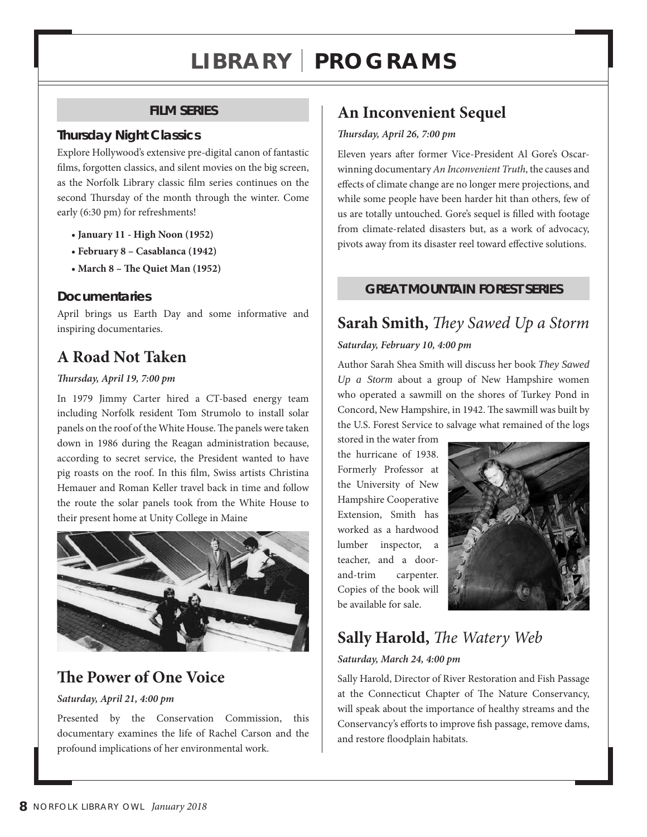# **l ibrary p rograms**

## **film series**

## **thursday Night classics**

Explore Hollywood's extensive pre-digital canon of fantastic films, forgotten classics, and silent movies on the big screen, as the Norfolk Library classic film series continues on the second Thursday of the month through the winter. Come early (6:30 pm) for refreshments!

- **January 11 High Noon (1952)**
- **February 8 Casablanca (1942)**
- **March 8 The Quiet Man (1952)**

## **Documentaries**

April brings us Earth Day and some informative and inspiring documentaries.

# **A Road Not Taken**

### *Thursday, April 19, 7:00 pm*

In 1979 Jimmy Carter hired a CT-based energy team including Norfolk resident Tom Strumolo to install solar panels on the roof of the White House. The panels were taken down in 1986 during the Reagan administration because, according to secret service, the President wanted to have pig roasts on the roof. In this film, Swiss artists Christina Hemauer and Roman Keller travel back in time and follow the route the solar panels took from the White House to their present home at Unity College in Maine



# **The Power of One Voice**

### *Saturday, April 21, 4:00 pm*

Presented by the Conservation Commission, this documentary examines the life of Rachel Carson and the profound implications of her environmental work.

# **An Inconvenient Sequel**

#### *Thursday, April 26, 7:00 pm*

Eleven years after former Vice-President Al Gore's Oscarwinning documentary *An Inconvenient Truth*, the causes and effects of climate change are no longer mere projections, and while some people have been harder hit than others, few of us are totally untouched. Gore's sequel is filled with footage from climate-related disasters but, as a work of advocacy, pivots away from its disaster reel toward effective solutions.

## **great mouNtaiN forest series**

# **Sarah Smith,** *They Sawed Up a Storm*

### *Saturday, February 10, 4:00 pm*

Author Sarah Shea Smith will discuss her book *They Sawed Up a Storm* about a group of New Hampshire women who operated a sawmill on the shores of Turkey Pond in Concord, New Hampshire, in 1942. The sawmill was built by the U.S. Forest Service to salvage what remained of the logs

stored in the water from the hurricane of 1938. Formerly Professor at the University of New Hampshire Cooperative Extension, Smith has worked as a hardwood lumber inspector, a teacher, and a doorand-trim carpenter. Copies of the book will be available for sale.



# **Sally Harold,** *The Watery Web*

## *Saturday, March 24, 4:00 pm*

Sally Harold, Director of River Restoration and Fish Passage at the Connecticut Chapter of The Nature Conservancy, will speak about the importance of healthy streams and the Conservancy's efforts to improve fish passage, remove dams, and restore floodplain habitats.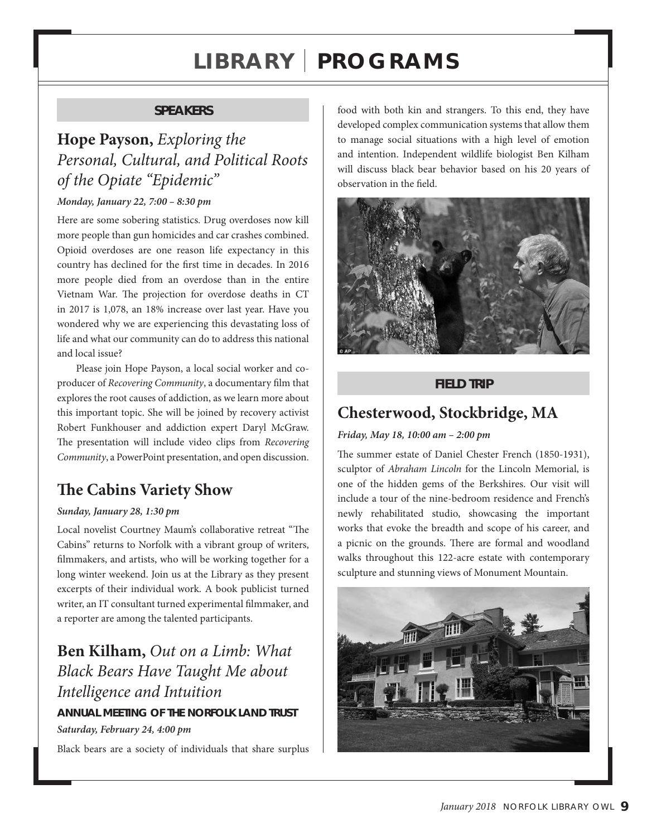# **l ibrary p rograms**

## **speakers**

# **Hope Payson,** *Exploring the Personal, Cultural, and Political Roots of the Opiate "Epidemic"*

#### *Monday, January 22, 7:00 – 8:30 pm*

Here are some sobering statistics. Drug overdoses now kill more people than gun homicides and car crashes combined. Opioid overdoses are one reason life expectancy in this country has declined for the first time in decades. In 2016 more people died from an overdose than in the entire Vietnam War. The projection for overdose deaths in CT in 2017 is 1,078, an 18% increase over last year. Have you wondered why we are experiencing this devastating loss of life and what our community can do to address this national and local issue?

Please join Hope Payson, a local social worker and coproducer of *Recovering Community*, a documentary film that explores the root causes of addiction, as we learn more about this important topic. She will be joined by recovery activist Robert Funkhouser and addiction expert Daryl McGraw. The presentation will include video clips from *Recovering Community*, a PowerPoint presentation, and open discussion.

# **The Cabins Variety Show**

#### *Sunday, January 28, 1:30 pm*

Local novelist Courtney Maum's collaborative retreat "The Cabins" returns to Norfolk with a vibrant group of writers, filmmakers, and artists, who will be working together for a long winter weekend. Join us at the Library as they present excerpts of their individual work. A book publicist turned writer, an IT consultant turned experimental filmmaker, and a reporter are among the talented participants.

# **Ben Kilham,** *Out on a Limb: What Black Bears Have Taught Me about Intelligence and Intuition* **aNNual meetiNg of the Norfolk laND trust** *Saturday, February 24, 4:00 pm*

Black bears are a society of individuals that share surplus

food with both kin and strangers. To this end, they have developed complex communication systems that allow them to manage social situations with a high level of emotion and intention. Independent wildlife biologist Ben Kilham will discuss black bear behavior based on his 20 years of observation in the field.



## **fielD trip**

## **Chesterwood, Stockbridge, MA**

#### *Friday, May 18, 10:00 am – 2:00 pm*

The summer estate of Daniel Chester French (1850-1931), sculptor of *Abraham Lincoln* for the Lincoln Memorial, is one of the hidden gems of the Berkshires. Our visit will include a tour of the nine-bedroom residence and French's newly rehabilitated studio, showcasing the important works that evoke the breadth and scope of his career, and a picnic on the grounds. There are formal and woodland walks throughout this 122-acre estate with contemporary sculpture and stunning views of Monument Mountain.

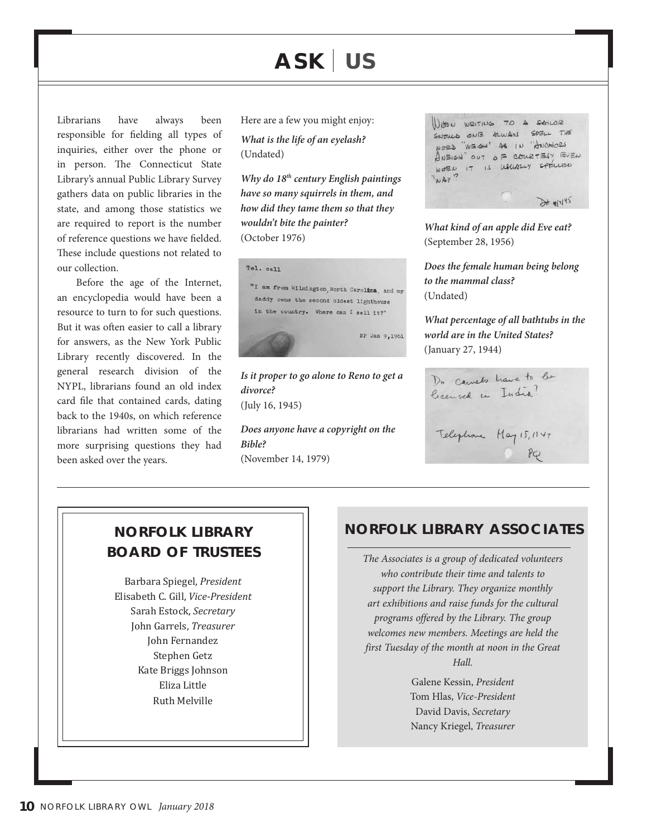# **ask u s**

Librarians have always been responsible for fielding all types of inquiries, either over the phone or in person. The Connecticut State Library's annual Public Library Survey gathers data on public libraries in the state, and among those statistics we are required to report is the number of reference questions we have fielded. These include questions not related to our collection.

Before the age of the Internet, an encyclopedia would have been a resource to turn to for such questions. But it was often easier to call a library for answers, as the New York Public Library recently discovered. In the general research division of the NYPL, librarians found an old index card file that contained cards, dating back to the 1940s, on which reference librarians had written some of the more surprising questions they had been asked over the years.

Here are a few you might enjoy:

*What is the life of an eyelash?*  (Undated)

*Why do 18th century English paintings have so many squirrels in them, and how did they tame them so that they wouldn't bite the painter?*  (October 1976)



*divorce?*  (July 16, 1945)

*Does anyone have a copyright on the Bible?*  (November 14, 1979)

WHEN WRITING TO A SAILOR SHOULD ONE ALWAYS SPELL THE WORD "WEIGH" AS IN "ANCHORS  $A$ NEIGH" OUT OF COURTESY EVEN WOEN IT IS USUALLY SPELLISO "WAY"  $8 + 4145$ 

*What kind of an apple did Eve eat?*  (September 28, 1956)

*Does the female human being belong to the mammal class?*  (Undated)

*What percentage of all bathtubs in the world are in the United States?*  (January 27, 1944)

Do camelo have to be licensed in India? Telephone May 15, 1744

# **boarD of trustees**

Barbara Spiegel, *President* Elisabeth C. Gill, *Vice-President* Sarah Estock, *Secretary* John Garrels, *Treasurer* John Fernandez Stephen Getz Kate Briggs Johnson Eliza Little Ruth Melville

## **Norfolk library Norfolk library associates**

*The Associates is a group of dedicated volunteers who contribute their time and talents to support the Library. They organize monthly art exhibitions and raise funds for the cultural programs offered by the Library. The group welcomes new members. Meetings are held the first Tuesday of the month at noon in the Great Hall.* 

> Galene Kessin, *President* Tom Hlas, *Vice-President* David Davis, *Secretary* Nancy Kriegel, *Treasurer*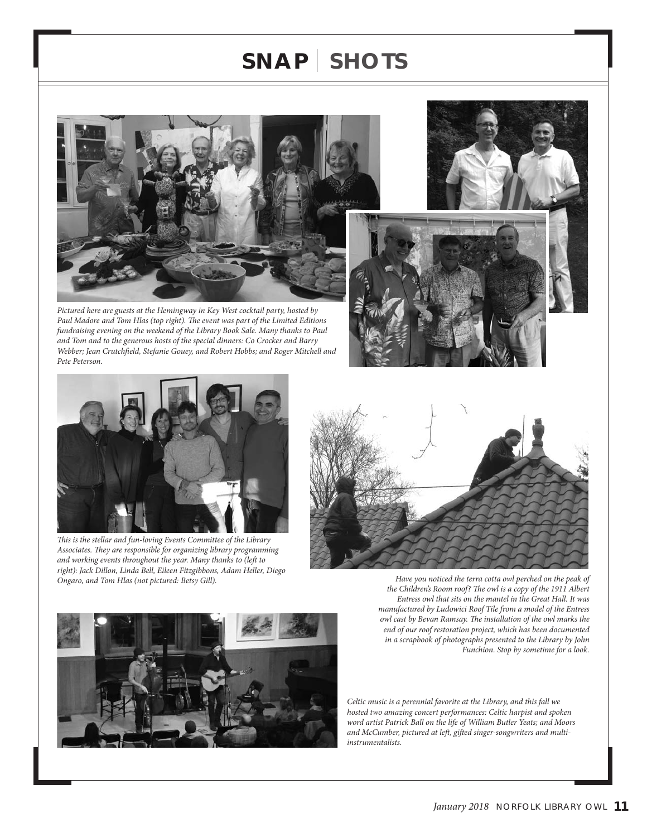# **s N a p shots**



*Pictured here are guests at the Hemingway in Key West cocktail party, hosted by Paul Madore and Tom Hlas (top right). The event was part of the Limited Editions fundraising evening on the weekend of the Library Book Sale. Many thanks to Paul and Tom and to the generous hosts of the special dinners: Co Crocker and Barry Webber; Jean Crutchfield, Stefanie Gouey, and Robert Hobbs; and Roger Mitchell and Pete Peterson.*





*This is the stellar and fun-loving Events Committee of the Library Associates. They are responsible for organizing library programming and working events throughout the year. Many thanks to (left to right): Jack Dillon, Linda Bell, Eileen Fitzgibbons, Adam Heller, Diego* 





*Have you noticed the terra cotta owl perched on the peak of the Children's Room roof? The owl is a copy of the 1911 Albert Entress owl that sits on the mantel in the Great Hall. It was manufactured by Ludowici Roof Tile from a model of the Entress owl cast by Bevan Ramsay. The installation of the owl marks the end of our roof restoration project, which has been documented in a scrapbook of photographs presented to the Library by John Funchion. Stop by sometime for a look.*

*Celtic music is a perennial favorite at the Library, and this fall we hosted two amazing concert performances: Celtic harpist and spoken word artist Patrick Ball on the life of William Butler Yeats; and Moors and McCumber, pictured at left, gifted singer-songwriters and multiinstrumentalists.*